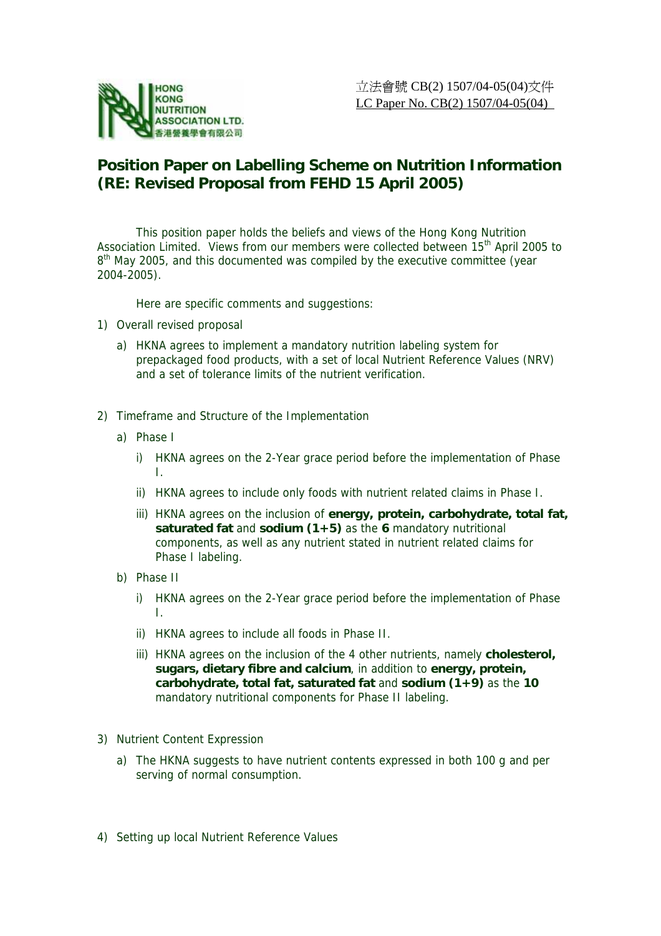

## **Position Paper on Labelling Scheme on Nutrition Information (RE: Revised Proposal from FEHD 15 April 2005)**

 This position paper holds the beliefs and views of the Hong Kong Nutrition Association Limited. Views from our members were collected between 15<sup>th</sup> April 2005 to 8<sup>th</sup> May 2005, and this documented was compiled by the executive committee (year 2004-2005).

Here are specific comments and suggestions:

- 1) Overall revised proposal
	- a) HKNA agrees to implement a mandatory nutrition labeling system for prepackaged food products, with a set of local Nutrient Reference Values (NRV) and a set of tolerance limits of the nutrient verification.
- 2) Timeframe and Structure of the Implementation
	- a) Phase I
		- i) HKNA agrees on the 2-Year grace period before the implementation of Phase I.
		- ii) HKNA agrees to include only foods with nutrient related claims in Phase I.
		- iii) HKNA agrees on the inclusion of **energy, protein, carbohydrate, total fat, saturated fat** and **sodium (1+5)** as the **6** mandatory nutritional components, as well as any nutrient stated in nutrient related claims for Phase I labeling.
	- b) Phase II
		- i) HKNA agrees on the 2-Year grace period before the implementation of Phase I.
		- ii) HKNA agrees to include all foods in Phase II.
		- iii) HKNA agrees on the inclusion of the 4 other nutrients, namely **cholesterol, sugars, dietary fibre and calcium**, in addition to **energy, protein, carbohydrate, total fat, saturated fat** and **sodium (1+9)** as the **10** mandatory nutritional components for Phase II labeling.
- 3) Nutrient Content Expression
	- a) The HKNA suggests to have nutrient contents expressed in both 100 g and per serving of normal consumption.
- 4) Setting up local Nutrient Reference Values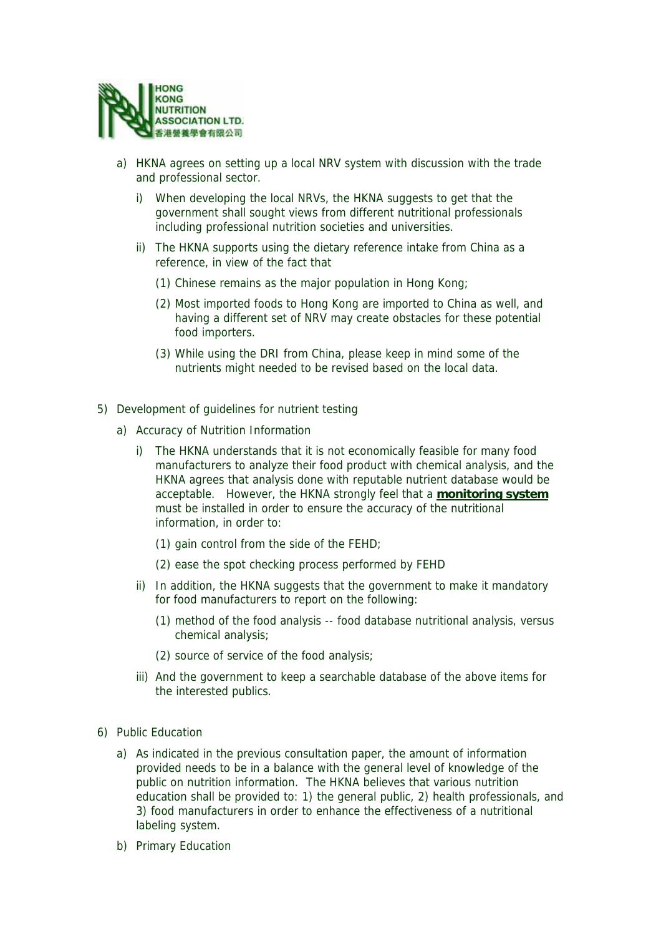

- a) HKNA agrees on setting up a local NRV system with discussion with the trade and professional sector.
	- i) When developing the local NRVs, the HKNA suggests to get that the government shall sought views from different nutritional professionals including professional nutrition societies and universities.
	- ii) The HKNA supports using the dietary reference intake from China as a reference, in view of the fact that
		- (1) Chinese remains as the major population in Hong Kong;
		- (2) Most imported foods to Hong Kong are imported to China as well, and having a different set of NRV may create obstacles for these potential food importers.
		- (3) While using the DRI from China, please keep in mind some of the nutrients might needed to be revised based on the local data.
- 5) Development of guidelines for nutrient testing
	- a) Accuracy of Nutrition Information
		- i) The HKNA understands that it is not economically feasible for many food manufacturers to analyze their food product with chemical analysis, and the HKNA agrees that analysis done with reputable nutrient database would be acceptable. However, the HKNA strongly feel that a **monitoring system** must be installed in order to ensure the accuracy of the nutritional information, in order to:
			- (1) gain control from the side of the FEHD;
			- (2) ease the spot checking process performed by FEHD
		- ii) In addition, the HKNA suggests that the government to make it mandatory for food manufacturers to report on the following:
			- (1) method of the food analysis -- food database nutritional analysis, versus chemical analysis;
			- (2) source of service of the food analysis;
		- iii) And the government to keep a searchable database of the above items for the interested publics.
- 6) Public Education
	- a) As indicated in the previous consultation paper, the amount of information provided needs to be in a balance with the general level of knowledge of the public on nutrition information. The HKNA believes that various nutrition education shall be provided to: 1) the general public, 2) health professionals, and 3) food manufacturers in order to enhance the effectiveness of a nutritional labeling system.
	- b) Primary Education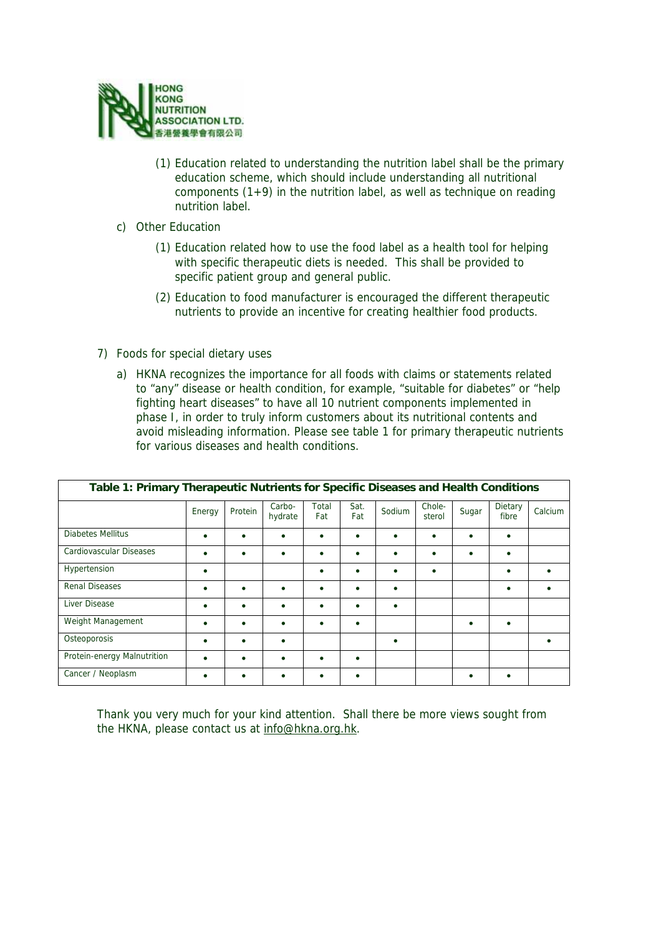

- (1) Education related to understanding the nutrition label shall be the primary education scheme, which should include understanding all nutritional components  $(1+9)$  in the nutrition label, as well as technique on reading nutrition label.
- c) Other Education
	- (1) Education related how to use the food label as a health tool for helping with specific therapeutic diets is needed. This shall be provided to specific patient group and general public.
	- (2) Education to food manufacturer is encouraged the different therapeutic nutrients to provide an incentive for creating healthier food products.
- 7) Foods for special dietary uses
	- a) HKNA recognizes the importance for all foods with claims or statements related to "any" disease or health condition, for example, "suitable for diabetes" or "help fighting heart diseases" to have all 10 nutrient components implemented in phase I, in order to truly inform customers about its nutritional contents and avoid misleading information. Please see table 1 for primary therapeutic nutrients for various diseases and health conditions.

| Table 1: Primary Therapeutic Nutrients for Specific Diseases and Health Conditions |           |         |                   |              |             |        |                  |       |                  |         |
|------------------------------------------------------------------------------------|-----------|---------|-------------------|--------------|-------------|--------|------------------|-------|------------------|---------|
|                                                                                    | Energy    | Protein | Carbo-<br>hydrate | Total<br>Fat | Sat.<br>Fat | Sodium | Chole-<br>sterol | Sugar | Dietary<br>fibre | Calcium |
| Diabetes Mellitus                                                                  | $\bullet$ |         | $\bullet$         | ٠            | $\bullet$   |        |                  |       | $\bullet$        |         |
| Cardiovascular Diseases                                                            |           |         |                   | ٠            | ٠           |        |                  |       | ٠                |         |
| Hypertension                                                                       | ٠         |         |                   | ٠            | ٠           | ٠      | ٠                |       | ٠                |         |
| <b>Renal Diseases</b>                                                              | $\bullet$ |         |                   | ٠            | $\bullet$   | ٠      |                  |       | $\bullet$        |         |
| Liver Disease                                                                      |           |         |                   | ٠            | ٠           |        |                  |       |                  |         |
| Weight Management                                                                  | ٠         |         | $\bullet$         | ٠            | ٠           |        |                  |       | ٠                |         |
| Osteoporosis                                                                       |           |         |                   |              |             |        |                  |       |                  |         |
| Protein-energy Malnutrition                                                        |           |         |                   | ٠            | ٠           |        |                  |       |                  |         |
| Cancer / Neoplasm                                                                  |           |         |                   | ٠            | ٠           |        |                  |       | ٠                |         |

Thank you very much for your kind attention. Shall there be more views sought from the HKNA, please contact us at info@hkna.org.hk.